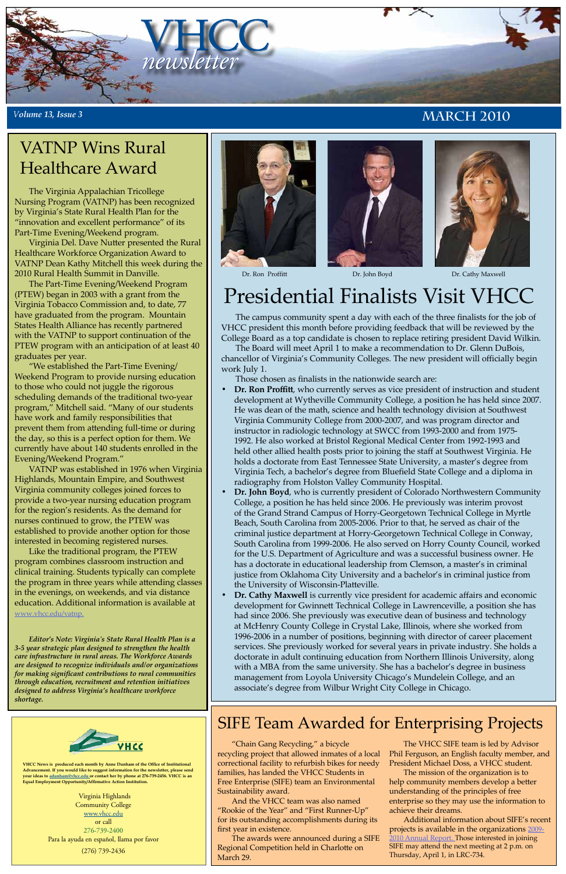"Chain Gang Recycling," a bicycle recycling project that allowed inmates of a local correctional facility to refurbish bikes for needy families, has landed the VHCC Students in Free Enterprise (SIFE) team an Environmental Sustainability award.

And the VHCC team was also named "Rookie of the Year" and "First Runner-Up" for its outstanding accomplishments during its first year in existence.

The awards were announced during a SIFE Regional Competition held in Charlotte on March 29.

The VHCC SIFE team is led by Advisor Phil Ferguson, an English faculty member, and President Michael Doss, a VHCC student.

The mission of the organization is to help community members develop a better understanding of the principles of free enterprise so they may use the information to achieve their dreams.

Additional information about SIFE's recent [projects is available in the organizations 2009-](http://www.vhcc.edu/Modules/ShowDocument.aspx?documentid=1012) 2010 Annual Report. Those interested in joining SIFE may attend the next meeting at 2 p.m. on Thursday, April 1, in LRC-734.



#### *<sup>V</sup>olume 13, Issue 3* **March 2010**

**VHCC News is produced each month by Anne Dunham of the Office of Institutional Advancement. If you would like to suggest information for the newsletter, please send your ideas to [adunham@vhcc.edu or](mailto:adunham@vhcc.edu) contact her by phone at 276-739-2456. VHCC is an Equal Employment Opportunity/Affirmative Action Institution.**

> Virginia Highlands Community College [www.vhcc.edu](http://www.vhcc.edu) or call 276-739-2400 Para la ayuda en español, llama por favor

(276) 739-2436

The Virginia Appalachian Tricollege Nursing Program (VATNP) has been recognized by Virginia's State Rural Health Plan for the "innovation and excellent performance" of its Part-Time Evening/Weekend program.

Virginia Del. Dave Nutter presented the Rural Healthcare Workforce Organization Award to VATNP Dean Kathy Mitchell this week during the 2010 Rural Health Summit in Danville.

The Part-Time Evening/Weekend Program (PTEW) began in 2003 with a grant from the Virginia Tobacco Commission and, to date, 77 have graduated from the program. Mountain States Health Alliance has recently partnered with the VATNP to support continuation of the PTEW program with an anticipation of at least 40 graduates per year.

"We established the Part-Time Evening/ Weekend Program to provide nursing education to those who could not juggle the rigorous scheduling demands of the traditional two-year program," Mitchell said. "Many of our students have work and family responsibilities that prevent them from attending full-time or during the day, so this is a perfect option for them. We currently have about 140 students enrolled in the Evening/Weekend Program."

VATNP was established in 1976 when Virginia Highlands, Mountain Empire, and Southwest Virginia community colleges joined forces to provide a two-year nursing education program for the region's residents. As the demand for nurses continued to grow, the PTEW was established to provide another option for those interested in becoming registered nurses.

- **Dr.** Ron Proffitt, who currently serves as vice president of instruction and student development at Wytheville Community College, a position he has held since 2007. He was dean of the math, science and health technology division at Southwest Virginia Community College from 2000-2007, and was program director and instructor in radiologic technology at SWCC from 1993-2000 and from 1975- 1992. He also worked at Bristol Regional Medical Center from 1992-1993 and held other allied health posts prior to joining the staff at Southwest Virginia. He holds a doctorate from East Tennessee State University, a master's degree from Virginia Tech, a bachelor's degree from Bluefield State College and a diploma in radiography from Holston Valley Community Hospital.
- **Dr. John Boyd**, who is currently president of Colorado Northwestern Community College, a position he has held since 2006. He previously was interim provost of the Grand Strand Campus of Horry-Georgetown Technical College in Myrtle Beach, South Carolina from 2005-2006. Prior to that, he served as chair of the criminal justice department at Horry-Georgetown Technical College in Conway, South Carolina from 1999-2006. He also served on Horry County Council, worked for the U.S. Department of Agriculture and was a successful business owner. He has a doctorate in educational leadership from Clemson, a master's in criminal justice from Oklahoma City University and a bachelor's in criminal justice from the University of Wisconsin-Platteville.
- **Dr. Cathy Maxwell** is currently vice president for academic affairs and economic development for Gwinnett Technical College in Lawrenceville, a position she has had since 2006. She previously was executive dean of business and technology at McHenry County College in Crystal Lake, Illinois, where she worked from 1996-2006 in a number of positions, beginning with director of career placement

Like the traditional program, the PTEW program combines classroom instruction and clinical training. Students typically can complete the program in three years while attending classes in the evenings, on weekends, and via distance education. Additional information is available at [www.vhcc.edu/vatnp.](http://www.vhcc.edu/vatnp)

*Editor's Note: Virginia's State Rural Health Plan is a* 





*3-5 year strategic plan designed to strengthen the health care infrastructure in rural areas. The Workforce Awards are designed to recognize individuals and/or organizations for making significant contributions to rural communities through education, recruitment and retention initiatives designed to address Virginia's healthcare workforce shortage.*



### VATNP Wins Rural Healthcare Award

The campus community spent a day with each of the three finalists for the job of VHCC president this month before providing feedback that will be reviewed by the College Board as a top candidate is chosen to replace retiring president David Wilkin.

The Board will meet April 1 to make a recommendation to Dr. Glenn DuBois, chancellor of Virginia's Community Colleges. The new president will officially begin work July 1.

Those chosen as finalists in the nationwide search are:

services. She previously worked for several years in private industry. She holds a doctorate in adult continuing education from Northern Illinois University, along with a MBA from the same university. She has a bachelor's degree in business management from Loyola University Chicago's Mundelein College, and an associate's degree from Wilbur Wright City College in Chicago.

# Presidential Finalists Visit VHCC

Dr. Ron Proffitt Dr. John Boyd Dr. Cathy Maxwell

#### SIFE Team Awarded for Enterprising Projects